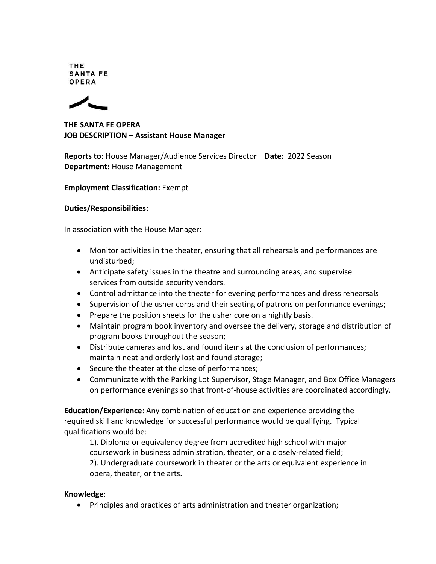**THE SANTA FE** OPERA



**THE SANTA FE OPERA JOB DESCRIPTION – Assistant House Manager**

**Reports to**: House Manager/Audience Services Director **Date:** 2022 Season **Department:** House Management

## **Employment Classification:** Exempt

## **Duties/Responsibilities:**

In association with the House Manager:

- Monitor activities in the theater, ensuring that all rehearsals and performances are undisturbed;
- Anticipate safety issues in the theatre and surrounding areas, and supervise services from outside security vendors.
- Control admittance into the theater for evening performances and dress rehearsals
- Supervision of the usher corps and their seating of patrons on performance evenings;
- Prepare the position sheets for the usher core on a nightly basis.
- Maintain program book inventory and oversee the delivery, storage and distribution of program books throughout the season;
- Distribute cameras and lost and found items at the conclusion of performances; maintain neat and orderly lost and found storage;
- Secure the theater at the close of performances;
- Communicate with the Parking Lot Supervisor, Stage Manager, and Box Office Managers on performance evenings so that front-of-house activities are coordinated accordingly.

**Education/Experience**: Any combination of education and experience providing the required skill and knowledge for successful performance would be qualifying. Typical qualifications would be:

1). Diploma or equivalency degree from accredited high school with major coursework in business administration, theater, or a closely-related field; 2). Undergraduate coursework in theater or the arts or equivalent experience in opera, theater, or the arts.

## **Knowledge**:

Principles and practices of arts administration and theater organization;